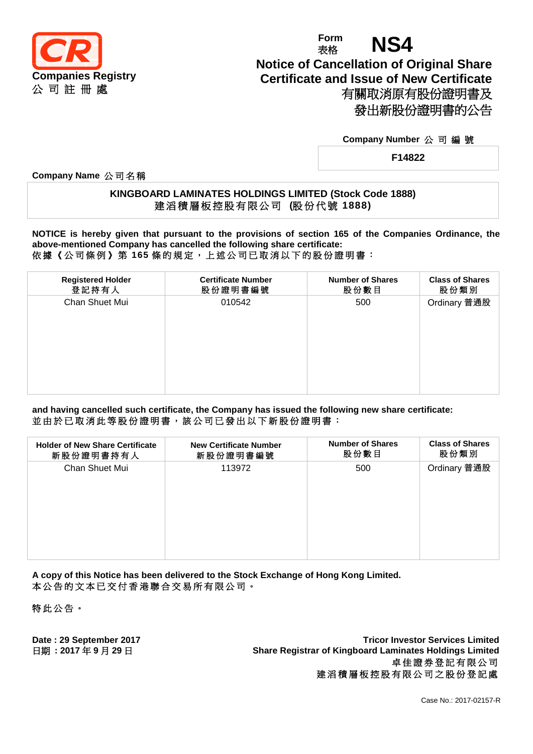

# **Form** Form **NS4 Notice of Cancellation of Original Share Certificate and Issue of New Certificate** 有關取消原有股份證明書及 發出新股份證明書的公告

#### **Company Number** 公 司 編 號

**F14822**

**Company Name** 公 司 名 稱

### **KINGBOARD LAMINATES HOLDINGS LIMITED (Stock Code 1888)** 建 滔 積 層 板 控 股 有 限 公 司 **(**股 份 代 號 **1888)**

**NOTICE is hereby given that pursuant to the provisions of section 165 of the Companies Ordinance, the above-mentioned Company has cancelled the following share certificate:** 依據《公司條例》第 **165** 條 的 規 定 , 上 述 公 司 已 取 消 以 下 的 股 份 證 明 書 :

| <b>Registered Holder</b><br><b>Certificate Number</b><br><b>Number of Shares</b><br><b>Class of Shares</b><br>登記持有人<br>股份數目<br>股份證明書編號<br>股份類別<br>Ordinary 普通股<br>Chan Shuet Mui<br>010542<br>500 |  |  |
|---------------------------------------------------------------------------------------------------------------------------------------------------------------------------------------------------|--|--|
|                                                                                                                                                                                                   |  |  |
|                                                                                                                                                                                                   |  |  |

**and having cancelled such certificate, the Company has issued the following new share certificate:** 並由於已取消此等股份證明書,該公司已發出以下新股份證明書:

| <b>Holder of New Share Certificate</b> | <b>New Certificate Number</b> | <b>Number of Shares</b> | <b>Class of Shares</b> |
|----------------------------------------|-------------------------------|-------------------------|------------------------|
| 新股份證明書持有人                              | 新股份證明書編號                      | 股份數目                    | 股份類別                   |
| Chan Shuet Mui                         | 113972                        | 500                     | Ordinary 普通股           |

**A copy of this Notice has been delivered to the Stock Exchange of Hong Kong Limited.** 本公告的文本已交付香港聯合交易所有限公司。

特此公告 。

**Date : 29 September 2017 Tricor Investor Services Limited** 日期 **: 2017** 年 **9** 月 **29** 日 **Share Registrar of Kingboard Laminates Holdings Limited** 卓佳證券登記有限公司 建滔積層板控股有限公司之股份登記處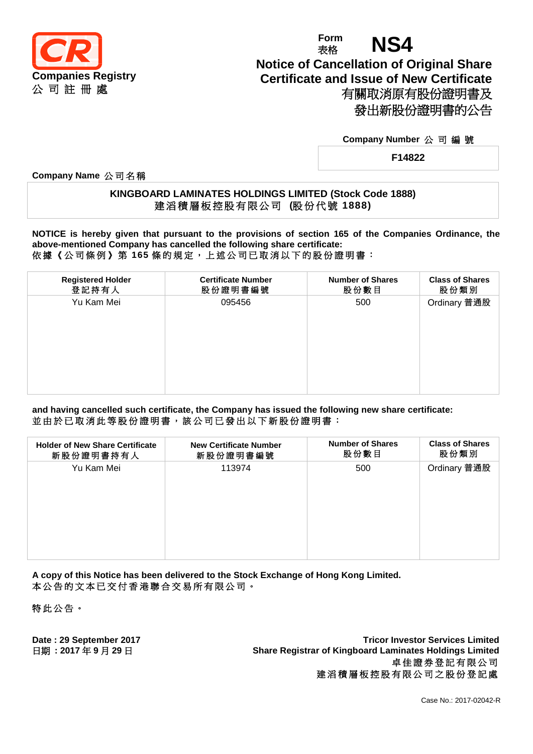

# **Form** Form **NS4 Notice of Cancellation of Original Share Certificate and Issue of New Certificate** 有關取消原有股份證明書及 發出新股份證明書的公告

#### **Company Number** 公 司 編 號

**F14822**

**Company Name** 公 司 名 稱

### **KINGBOARD LAMINATES HOLDINGS LIMITED (Stock Code 1888)** 建 滔 積 層 板 控 股 有 限 公 司 **(**股 份 代 號 **1888)**

**NOTICE is hereby given that pursuant to the provisions of section 165 of the Companies Ordinance, the above-mentioned Company has cancelled the following share certificate:** 依據《公司條例》第 **165** 條 的 規 定 , 上 述 公 司 已 取 消 以 下 的 股 份 證 明 書 :

| <b>Certificate Number</b><br><b>Number of Shares</b><br><b>Class of Shares</b><br><b>Registered Holder</b><br>登記持有人<br>股份數目<br>股份類別<br>股份證明書編號<br>Ordinary 普通股<br>Yu Kam Mei<br>095456<br>500 |  |  |
|-----------------------------------------------------------------------------------------------------------------------------------------------------------------------------------------------|--|--|
|                                                                                                                                                                                               |  |  |
|                                                                                                                                                                                               |  |  |

**and having cancelled such certificate, the Company has issued the following new share certificate:** 並由於已取消此等股份證明書,該公司已發出以下新股份證明書:

| <b>Holder of New Share Certificate</b><br>新股份證明書持有人 | <b>New Certificate Number</b><br>新股份證明書編號 | <b>Number of Shares</b><br>股份數目 | <b>Class of Shares</b><br>股份類別 |
|-----------------------------------------------------|-------------------------------------------|---------------------------------|--------------------------------|
| Yu Kam Mei                                          | 113974                                    | 500                             | Ordinary 普通股                   |
|                                                     |                                           |                                 |                                |

**A copy of this Notice has been delivered to the Stock Exchange of Hong Kong Limited.** 本公告的文本已交付香港聯合交易所有限公司。

特此公告 。

**Date : 29 September 2017 Tricor Investor Services Limited** 日期 **: 2017** 年 **9** 月 **29** 日 **Share Registrar of Kingboard Laminates Holdings Limited** 卓佳證券登記有限公司 建滔積層板控股有限公司之股份登記處